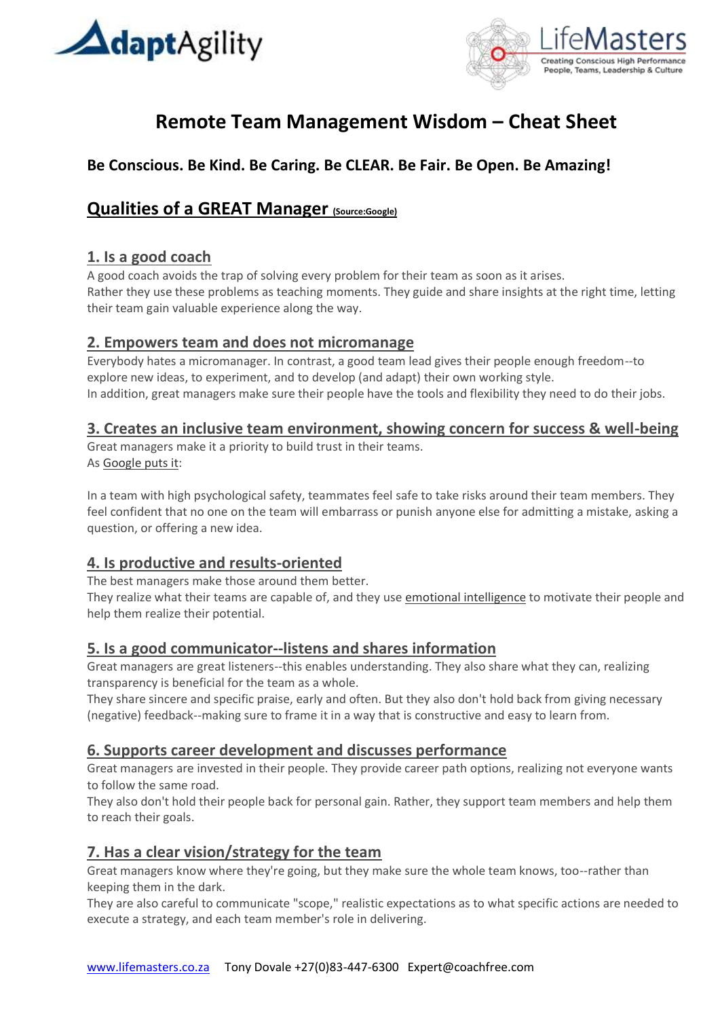



# **Remote Team Management Wisdom – Cheat Sheet**

# **Be Conscious. Be Kind. Be Caring. Be CLEAR. Be Fair. Be Open. Be Amazing!**

## **Qualities of a GREAT Manager (Source:Google)**

### **1. Is a good coach**

A good coach avoids the trap of solving every problem for their team as soon as it arises. Rather they use these problems as teaching moments. They guide and share insights at the right time, letting their team gain valuable experience along the way.

### **2. Empowers team and does not micromanage**

Everybody hates a micromanager. In contrast, a good team lead gives their people enough freedom--to explore new ideas, to experiment, and to develop (and adapt) their own working style. In addition, great managers make sure their people have the tools and flexibility they need to do their jobs.

### **3. Creates an inclusive team environment, showing concern for success & well-being**

Great managers make it a priority to build trust in their teams. As [Google puts it:](https://rework.withgoogle.com/print/guides/5721312655835136/)

In a team with high psychological safety, teammates feel safe to take risks around their team members. They feel confident that no one on the team will embarrass or punish anyone else for admitting a mistake, asking a question, or offering a new idea.

### **4. Is productive and results-oriented**

The best managers make those around them better.

They realize what their teams are capable of, and they use [emotional intelligence](https://www.amazon.com/EQ-Applied-Real-World-Emotional-Intelligence-ebook/dp/B07D7K938G/?tag=inccom028-20) to motivate their people and help them realize their potential.

### **5. Is a good communicator--listens and shares information**

Great managers are great listeners--this enables understanding. They also share what they can, realizing transparency is beneficial for the team as a whole.

They share sincere and specific praise, early and often. But they also don't hold back from giving necessary (negative) feedback--making sure to frame it in a way that is constructive and easy to learn from.

### **6. Supports career development and discusses performance**

Great managers are invested in their people. They provide career path options, realizing not everyone wants to follow the same road.

They also don't hold their people back for personal gain. Rather, they support team members and help them to reach their goals.

### **7. Has a clear vision/strategy for the team**

Great managers know where they're going, but they make sure the whole team knows, too--rather than keeping them in the dark.

They are also careful to communicate "scope," realistic expectations as to what specific actions are needed to execute a strategy, and each team member's role in delivering.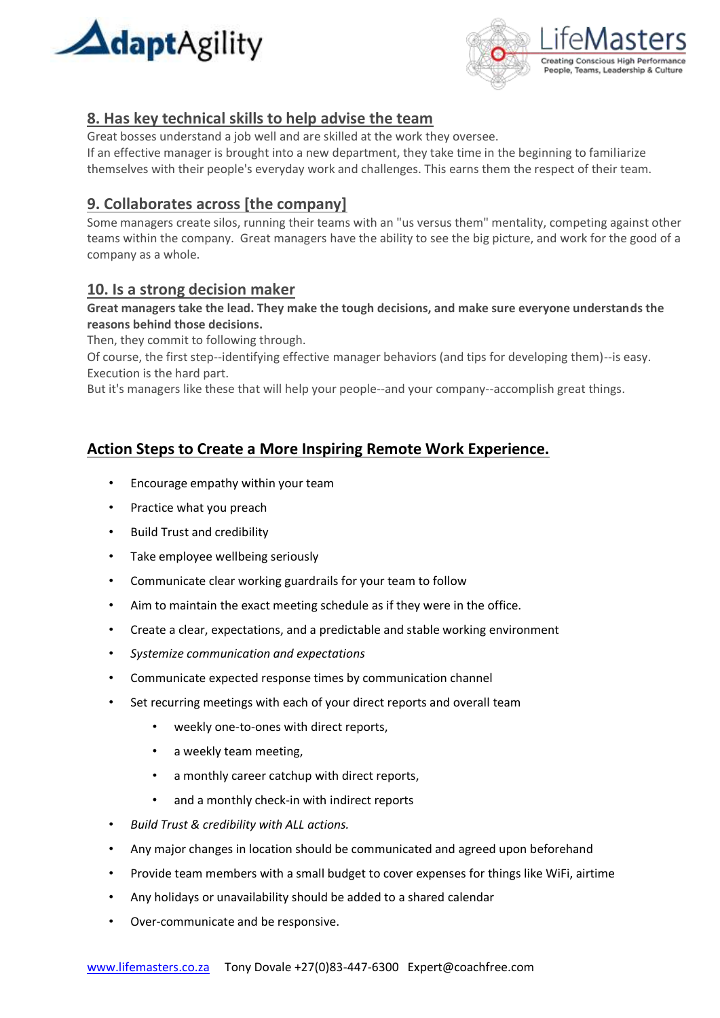



### **8. Has key technical skills to help advise the team**

Great bosses understand a job well and are skilled at the work they oversee.

If an effective manager is brought into a new department, they take time in the beginning to familiarize themselves with their people's everyday work and challenges. This earns them the respect of their team.

### **9. Collaborates across [the company]**

Some managers create silos, running their teams with an "us versus them" mentality, competing against other teams within the company. Great managers have the ability to see the big picture, and work for the good of a company as a whole.

### **10. Is a strong decision maker**

**Great managers take the lead. They make the tough decisions, and make sure everyone understands the reasons behind those decisions.**

Then, they commit to following through.

Of course, the first step--identifying effective manager behaviors (and tips for developing them)--is easy. Execution is the hard part.

But it's managers like these that will help your people--and your company--accomplish great things.

### **Action Steps to Create a More Inspiring Remote Work Experience.**

- Encourage empathy within your team
- Practice what you preach
- Build Trust and credibility
- Take employee wellbeing seriously
- Communicate clear working guardrails for your team to follow
- Aim to maintain the exact meeting schedule as if they were in the office.
- Create a clear, expectations, and a predictable and stable working environment
- *Systemize communication and expectations*
- Communicate expected response times by communication channel
- Set recurring meetings with each of your direct reports and overall team
	- weekly one-to-ones with direct reports,
	- a weekly team meeting,
	- a monthly career catchup with direct reports,
	- and a monthly check-in with indirect reports
- *Build Trust & credibility with ALL actions.*
- Any major changes in location should be communicated and agreed upon beforehand
- Provide team members with a small budget to cover expenses for things like WiFi, airtime
- Any holidays or unavailability should be added to a shared calendar
- Over-communicate and be responsive.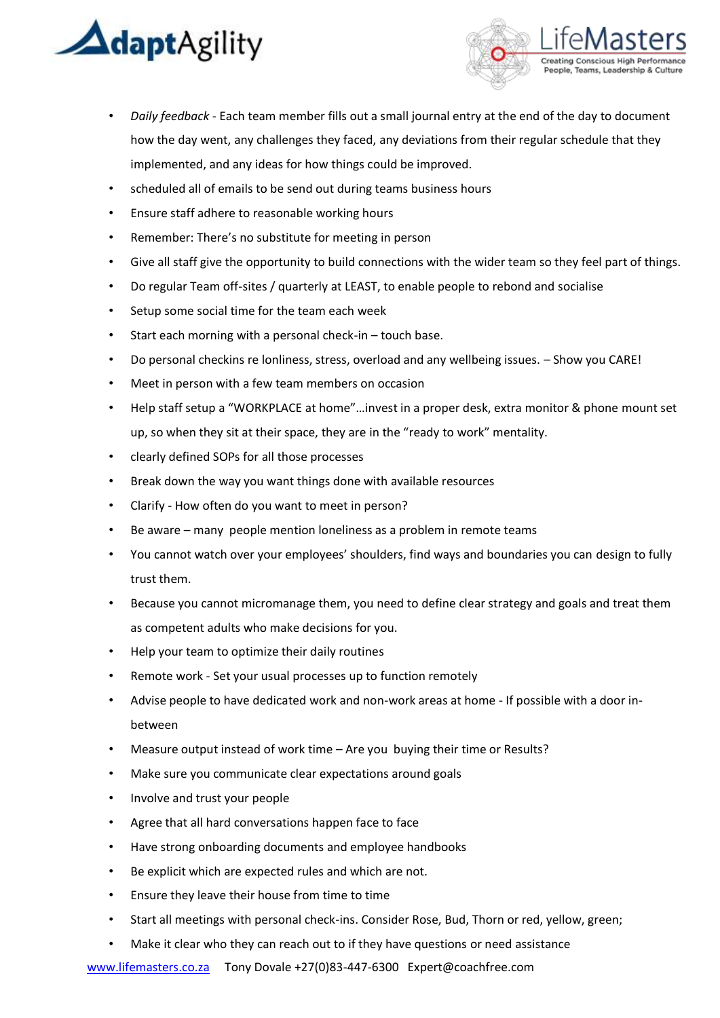



- *Daily feedback -* Each team member fills out a small journal entry at the end of the day to document how the day went, any challenges they faced, any deviations from their regular schedule that they implemented, and any ideas for how things could be improved.
- scheduled all of emails to be send out during teams business hours
- Ensure staff adhere to reasonable working hours
- Remember: There's no substitute for meeting in person
- Give all staff give the opportunity to build connections with the wider team so they feel part of things.
- Do regular Team off-sites / quarterly at LEAST, to enable people to rebond and socialise
- Setup some social time for the team each week
- Start each morning with a personal check-in touch base.
- Do personal checkins re lonliness, stress, overload and any wellbeing issues. Show you CARE!
- Meet in person with a few team members on occasion
- Help staff setup a "WORKPLACE at home"…invest in a proper desk, extra monitor & phone mount set up, so when they sit at their space, they are in the "ready to work" mentality.
- clearly defined SOPs for all those processes
- Break down the way you want things done with available resources
- Clarify How often do you want to meet in person?
- Be aware many people mention loneliness as a problem in remote teams
- You cannot watch over your employees' shoulders, find ways and boundaries you can design to fully trust them.
- Because you cannot micromanage them, you need to define clear strategy and goals and treat them as competent adults who make decisions for you.
- Help your team to optimize their daily routines
- Remote work Set your usual processes up to function remotely
- Advise people to have dedicated work and non-work areas at home If possible with a door inbetween
- Measure output instead of work time Are you buying their time or Results?
- Make sure you communicate clear expectations around goals
- Involve and trust your people
- Agree that all hard conversations happen face to face
- Have strong onboarding documents and employee handbooks
- Be explicit which are expected rules and which are not.
- Ensure they leave their house from time to time
- Start all meetings with personal check-ins. Consider Rose, Bud, Thorn or red, yellow, green;
- Make it clear who they can reach out to if they have questions or need assistance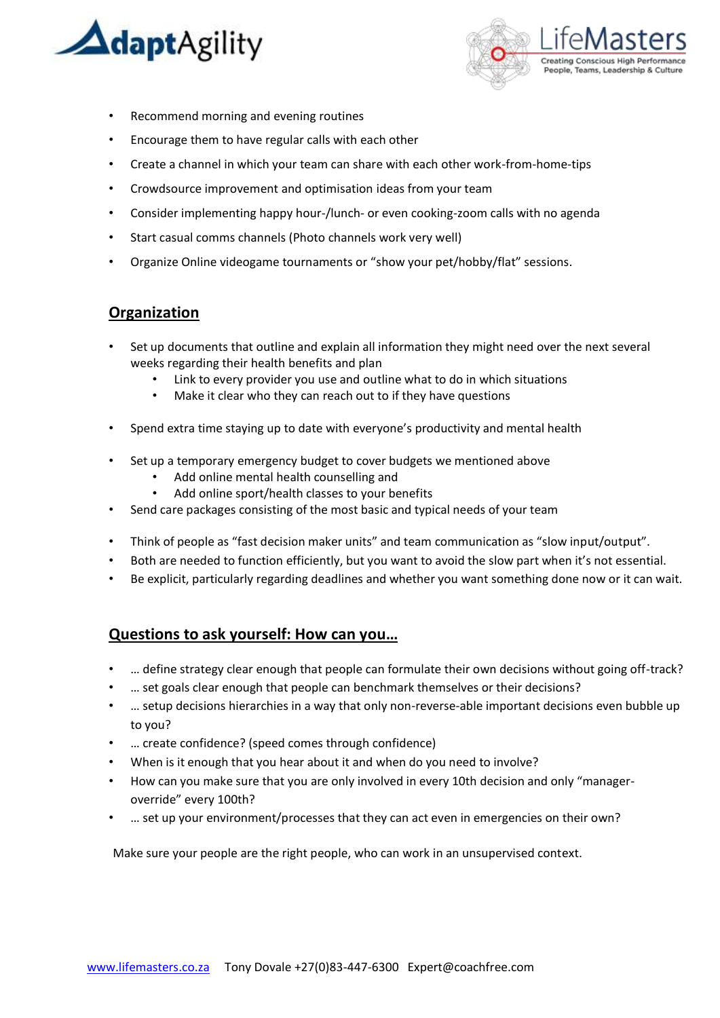



- Recommend morning and evening routines
- Encourage them to have regular calls with each other
- Create a channel in which your team can share with each other work-from-home-tips
- Crowdsource improvement and optimisation ideas from your team
- Consider implementing happy hour-/lunch- or even cooking-zoom calls with no agenda
- Start casual comms channels (Photo channels work very well)
- Organize Online videogame tournaments or "show your pet/hobby/flat" sessions.

#### **Organization**

- Set up documents that outline and explain all information they might need over the next several weeks regarding their health benefits and plan
	- Link to every provider you use and outline what to do in which situations
	- Make it clear who they can reach out to if they have questions
- Spend extra time staying up to date with everyone's productivity and mental health
- Set up a temporary emergency budget to cover budgets we mentioned above
	- Add online mental health counselling and
	- Add online sport/health classes to your benefits
- Send care packages consisting of the most basic and typical needs of your team
- Think of people as "fast decision maker units" and team communication as "slow input/output".
- Both are needed to function efficiently, but you want to avoid the slow part when it's not essential.
- Be explicit, particularly regarding deadlines and whether you want something done now or it can wait.

### **Questions to ask yourself: How can you…**

- … define strategy clear enough that people can formulate their own decisions without going off-track?
- … set goals clear enough that people can benchmark themselves or their decisions?
- … setup decisions hierarchies in a way that only non-reverse-able important decisions even bubble up to you?
- … create confidence? (speed comes through confidence)
- When is it enough that you hear about it and when do you need to involve?
- How can you make sure that you are only involved in every 10th decision and only "manageroverride" every 100th?
- … set up your environment/processes that they can act even in emergencies on their own?

Make sure your people are the right people, who can work in an unsupervised context.